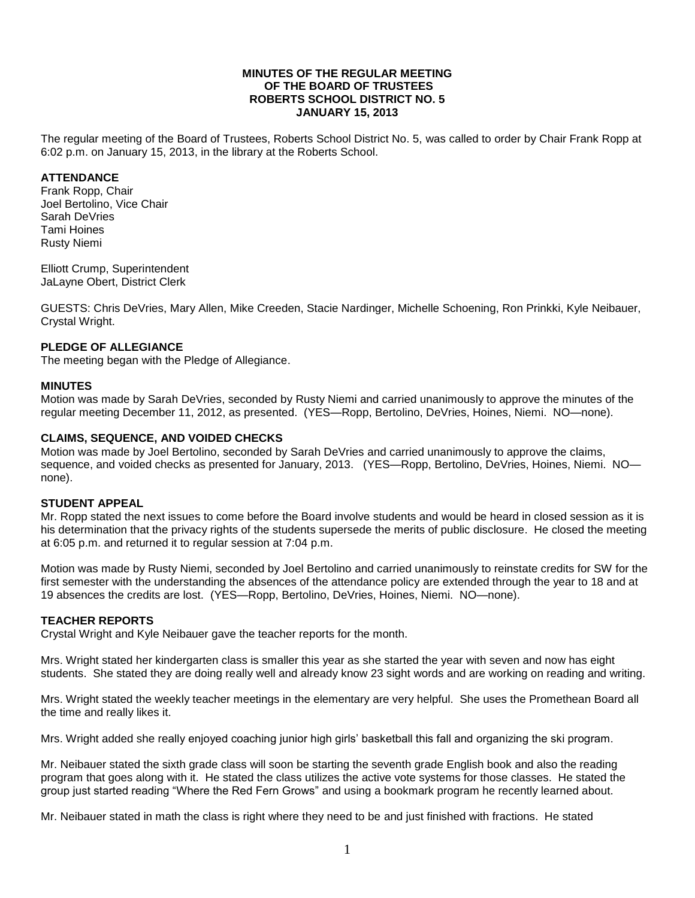#### **MINUTES OF THE REGULAR MEETING OF THE BOARD OF TRUSTEES ROBERTS SCHOOL DISTRICT NO. 5 JANUARY 15, 2013**

The regular meeting of the Board of Trustees, Roberts School District No. 5, was called to order by Chair Frank Ropp at 6:02 p.m. on January 15, 2013, in the library at the Roberts School.

#### **ATTENDANCE**

Frank Ropp, Chair Joel Bertolino, Vice Chair Sarah DeVries Tami Hoines Rusty Niemi

Elliott Crump, Superintendent JaLayne Obert, District Clerk

GUESTS: Chris DeVries, Mary Allen, Mike Creeden, Stacie Nardinger, Michelle Schoening, Ron Prinkki, Kyle Neibauer, Crystal Wright.

#### **PLEDGE OF ALLEGIANCE**

The meeting began with the Pledge of Allegiance.

#### **MINUTES**

Motion was made by Sarah DeVries, seconded by Rusty Niemi and carried unanimously to approve the minutes of the regular meeting December 11, 2012, as presented. (YES—Ropp, Bertolino, DeVries, Hoines, Niemi. NO—none).

## **CLAIMS, SEQUENCE, AND VOIDED CHECKS**

Motion was made by Joel Bertolino, seconded by Sarah DeVries and carried unanimously to approve the claims, sequence, and voided checks as presented for January, 2013. (YES—Ropp, Bertolino, DeVries, Hoines, Niemi. NO none).

#### **STUDENT APPEAL**

Mr. Ropp stated the next issues to come before the Board involve students and would be heard in closed session as it is his determination that the privacy rights of the students supersede the merits of public disclosure. He closed the meeting at 6:05 p.m. and returned it to regular session at 7:04 p.m.

Motion was made by Rusty Niemi, seconded by Joel Bertolino and carried unanimously to reinstate credits for SW for the first semester with the understanding the absences of the attendance policy are extended through the year to 18 and at 19 absences the credits are lost. (YES—Ropp, Bertolino, DeVries, Hoines, Niemi. NO—none).

## **TEACHER REPORTS**

Crystal Wright and Kyle Neibauer gave the teacher reports for the month.

Mrs. Wright stated her kindergarten class is smaller this year as she started the year with seven and now has eight students. She stated they are doing really well and already know 23 sight words and are working on reading and writing.

Mrs. Wright stated the weekly teacher meetings in the elementary are very helpful. She uses the Promethean Board all the time and really likes it.

Mrs. Wright added she really enjoyed coaching junior high girls' basketball this fall and organizing the ski program.

Mr. Neibauer stated the sixth grade class will soon be starting the seventh grade English book and also the reading program that goes along with it. He stated the class utilizes the active vote systems for those classes. He stated the group just started reading "Where the Red Fern Grows" and using a bookmark program he recently learned about.

Mr. Neibauer stated in math the class is right where they need to be and just finished with fractions. He stated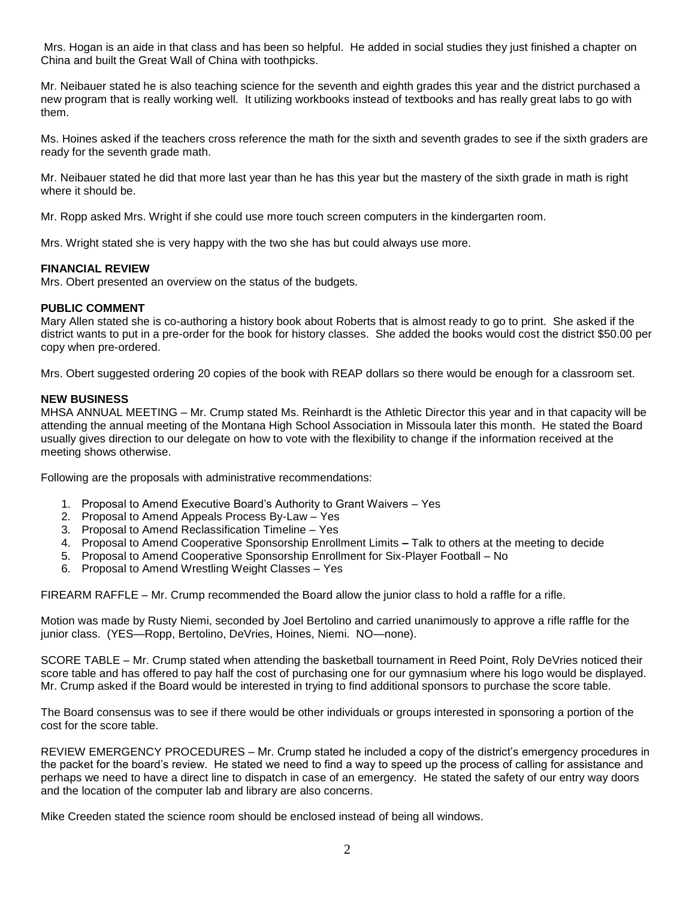Mrs. Hogan is an aide in that class and has been so helpful. He added in social studies they just finished a chapter on China and built the Great Wall of China with toothpicks.

Mr. Neibauer stated he is also teaching science for the seventh and eighth grades this year and the district purchased a new program that is really working well. It utilizing workbooks instead of textbooks and has really great labs to go with them.

Ms. Hoines asked if the teachers cross reference the math for the sixth and seventh grades to see if the sixth graders are ready for the seventh grade math.

Mr. Neibauer stated he did that more last year than he has this year but the mastery of the sixth grade in math is right where it should be.

Mr. Ropp asked Mrs. Wright if she could use more touch screen computers in the kindergarten room.

Mrs. Wright stated she is very happy with the two she has but could always use more.

## **FINANCIAL REVIEW**

Mrs. Obert presented an overview on the status of the budgets.

# **PUBLIC COMMENT**

Mary Allen stated she is co-authoring a history book about Roberts that is almost ready to go to print. She asked if the district wants to put in a pre-order for the book for history classes. She added the books would cost the district \$50.00 per copy when pre-ordered.

Mrs. Obert suggested ordering 20 copies of the book with REAP dollars so there would be enough for a classroom set.

## **NEW BUSINESS**

MHSA ANNUAL MEETING – Mr. Crump stated Ms. Reinhardt is the Athletic Director this year and in that capacity will be attending the annual meeting of the Montana High School Association in Missoula later this month. He stated the Board usually gives direction to our delegate on how to vote with the flexibility to change if the information received at the meeting shows otherwise.

Following are the proposals with administrative recommendations:

- 1. Proposal to Amend Executive Board's Authority to Grant Waivers Yes
- 2. Proposal to Amend Appeals Process By-Law Yes
- 3. Proposal to Amend Reclassification Timeline Yes
- 4. Proposal to Amend Cooperative Sponsorship Enrollment Limits **–** Talk to others at the meeting to decide
- 5. Proposal to Amend Cooperative Sponsorship Enrollment for Six-Player Football No
- 6. Proposal to Amend Wrestling Weight Classes Yes

FIREARM RAFFLE – Mr. Crump recommended the Board allow the junior class to hold a raffle for a rifle.

Motion was made by Rusty Niemi, seconded by Joel Bertolino and carried unanimously to approve a rifle raffle for the junior class. (YES—Ropp, Bertolino, DeVries, Hoines, Niemi. NO—none).

SCORE TABLE – Mr. Crump stated when attending the basketball tournament in Reed Point, Roly DeVries noticed their score table and has offered to pay half the cost of purchasing one for our gymnasium where his logo would be displayed. Mr. Crump asked if the Board would be interested in trying to find additional sponsors to purchase the score table.

The Board consensus was to see if there would be other individuals or groups interested in sponsoring a portion of the cost for the score table.

REVIEW EMERGENCY PROCEDURES – Mr. Crump stated he included a copy of the district's emergency procedures in the packet for the board's review. He stated we need to find a way to speed up the process of calling for assistance and perhaps we need to have a direct line to dispatch in case of an emergency. He stated the safety of our entry way doors and the location of the computer lab and library are also concerns.

Mike Creeden stated the science room should be enclosed instead of being all windows.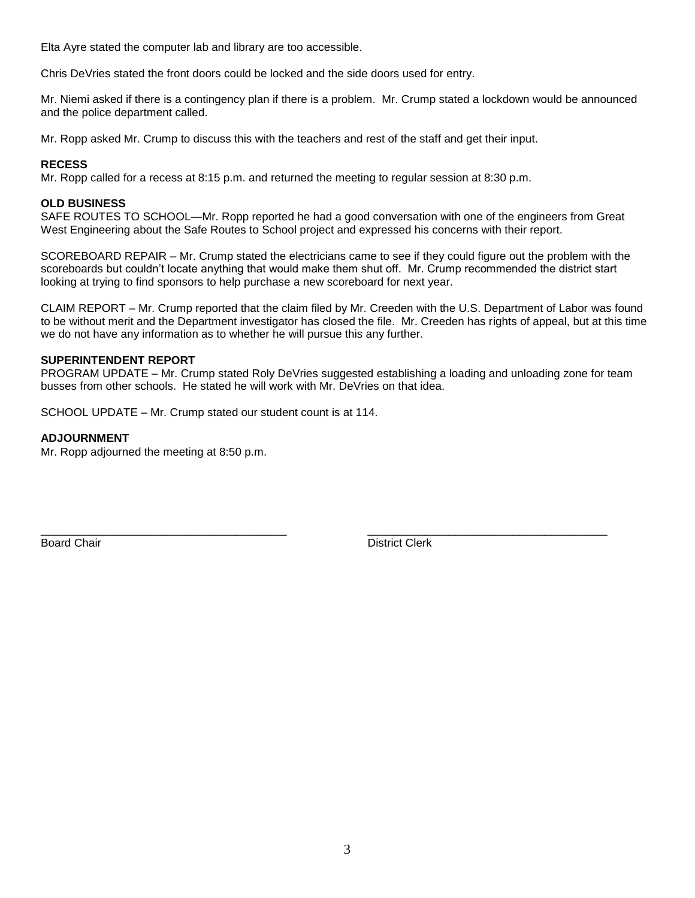Elta Ayre stated the computer lab and library are too accessible.

Chris DeVries stated the front doors could be locked and the side doors used for entry.

Mr. Niemi asked if there is a contingency plan if there is a problem. Mr. Crump stated a lockdown would be announced and the police department called.

Mr. Ropp asked Mr. Crump to discuss this with the teachers and rest of the staff and get their input.

#### **RECESS**

Mr. Ropp called for a recess at 8:15 p.m. and returned the meeting to regular session at 8:30 p.m.

## **OLD BUSINESS**

SAFE ROUTES TO SCHOOL—Mr. Ropp reported he had a good conversation with one of the engineers from Great West Engineering about the Safe Routes to School project and expressed his concerns with their report.

SCOREBOARD REPAIR – Mr. Crump stated the electricians came to see if they could figure out the problem with the scoreboards but couldn't locate anything that would make them shut off. Mr. Crump recommended the district start looking at trying to find sponsors to help purchase a new scoreboard for next year.

CLAIM REPORT – Mr. Crump reported that the claim filed by Mr. Creeden with the U.S. Department of Labor was found to be without merit and the Department investigator has closed the file. Mr. Creeden has rights of appeal, but at this time we do not have any information as to whether he will pursue this any further.

#### **SUPERINTENDENT REPORT**

PROGRAM UPDATE – Mr. Crump stated Roly DeVries suggested establishing a loading and unloading zone for team busses from other schools. He stated he will work with Mr. DeVries on that idea.

\_\_\_\_\_\_\_\_\_\_\_\_\_\_\_\_\_\_\_\_\_\_\_\_\_\_\_\_\_\_\_\_\_\_\_\_\_\_\_ \_\_\_\_\_\_\_\_\_\_\_\_\_\_\_\_\_\_\_\_\_\_\_\_\_\_\_\_\_\_\_\_\_\_\_\_\_\_

SCHOOL UPDATE – Mr. Crump stated our student count is at 114.

## **ADJOURNMENT**

Mr. Ropp adjourned the meeting at 8:50 p.m.

Board Chair **District Clerk Board Chair District Clerk**